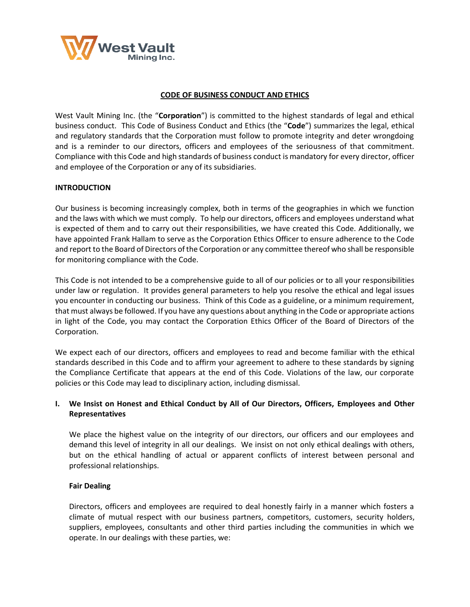

## **CODE OF BUSINESS CONDUCT AND ETHICS**

West Vault Mining Inc. (the "**Corporation**") is committed to the highest standards of legal and ethical business conduct. This Code of Business Conduct and Ethics (the "**Code**") summarizes the legal, ethical and regulatory standards that the Corporation must follow to promote integrity and deter wrongdoing and is a reminder to our directors, officers and employees of the seriousness of that commitment. Compliance with this Code and high standards of business conduct is mandatory for every director, officer and employee of the Corporation or any of its subsidiaries.

## **INTRODUCTION**

Our business is becoming increasingly complex, both in terms of the geographies in which we function and the laws with which we must comply. To help our directors, officers and employees understand what is expected of them and to carry out their responsibilities, we have created this Code. Additionally, we have appointed Frank Hallam to serve as the Corporation Ethics Officer to ensure adherence to the Code and report to the Board of Directors of the Corporation or any committee thereof who shall be responsible for monitoring compliance with the Code.

This Code is not intended to be a comprehensive guide to all of our policies or to all your responsibilities under law or regulation. It provides general parameters to help you resolve the ethical and legal issues you encounter in conducting our business. Think of this Code as a guideline, or a minimum requirement, that must always be followed. If you have any questions about anything in the Code or appropriate actions in light of the Code, you may contact the Corporation Ethics Officer of the Board of Directors of the Corporation.

We expect each of our directors, officers and employees to read and become familiar with the ethical standards described in this Code and to affirm your agreement to adhere to these standards by signing the Compliance Certificate that appears at the end of this Code. Violations of the law, our corporate policies or this Code may lead to disciplinary action, including dismissal.

# **I. We Insist on Honest and Ethical Conduct by All of Our Directors, Officers, Employees and Other Representatives**

We place the highest value on the integrity of our directors, our officers and our employees and demand this level of integrity in all our dealings. We insist on not only ethical dealings with others, but on the ethical handling of actual or apparent conflicts of interest between personal and professional relationships.

### **Fair Dealing**

Directors, officers and employees are required to deal honestly fairly in a manner which fosters a climate of mutual respect with our business partners, competitors, customers, security holders, suppliers, employees, consultants and other third parties including the communities in which we operate. In our dealings with these parties, we: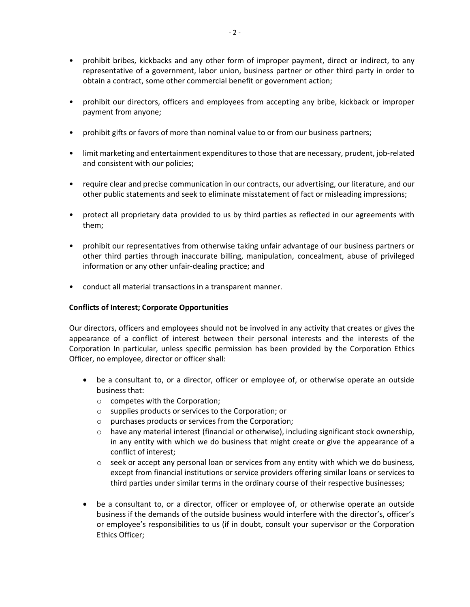- prohibit bribes, kickbacks and any other form of improper payment, direct or indirect, to any representative of a government, labor union, business partner or other third party in order to obtain a contract, some other commercial benefit or government action;
- prohibit our directors, officers and employees from accepting any bribe, kickback or improper payment from anyone;
- prohibit gifts or favors of more than nominal value to or from our business partners;
- limit marketing and entertainment expenditures to those that are necessary, prudent, job-related and consistent with our policies;
- require clear and precise communication in our contracts, our advertising, our literature, and our other public statements and seek to eliminate misstatement of fact or misleading impressions;
- protect all proprietary data provided to us by third parties as reflected in our agreements with them;
- prohibit our representatives from otherwise taking unfair advantage of our business partners or other third parties through inaccurate billing, manipulation, concealment, abuse of privileged information or any other unfair-dealing practice; and
- conduct all material transactions in a transparent manner.

# **Conflicts of Interest; Corporate Opportunities**

Our directors, officers and employees should not be involved in any activity that creates or gives the appearance of a conflict of interest between their personal interests and the interests of the Corporation In particular, unless specific permission has been provided by the Corporation Ethics Officer, no employee, director or officer shall:

- be a consultant to, or a director, officer or employee of, or otherwise operate an outside business that:
	- o competes with the Corporation;
	- o supplies products or services to the Corporation; or
	- o purchases products or services from the Corporation;
	- $\circ$  have any material interest (financial or otherwise), including significant stock ownership, in any entity with which we do business that might create or give the appearance of a conflict of interest;
	- $\circ$  seek or accept any personal loan or services from any entity with which we do business, except from financial institutions or service providers offering similar loans or services to third parties under similar terms in the ordinary course of their respective businesses;
- be a consultant to, or a director, officer or employee of, or otherwise operate an outside business if the demands of the outside business would interfere with the director's, officer's or employee's responsibilities to us (if in doubt, consult your supervisor or the Corporation Ethics Officer;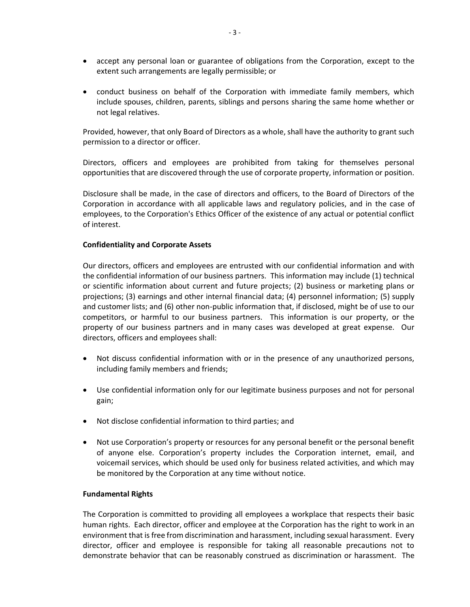- accept any personal loan or guarantee of obligations from the Corporation, except to the extent such arrangements are legally permissible; or
- conduct business on behalf of the Corporation with immediate family members, which include spouses, children, parents, siblings and persons sharing the same home whether or not legal relatives.

Provided, however, that only Board of Directors as a whole, shall have the authority to grant such permission to a director or officer.

Directors, officers and employees are prohibited from taking for themselves personal opportunities that are discovered through the use of corporate property, information or position.

Disclosure shall be made, in the case of directors and officers, to the Board of Directors of the Corporation in accordance with all applicable laws and regulatory policies, and in the case of employees, to the Corporation's Ethics Officer of the existence of any actual or potential conflict of interest.

### **Confidentiality and Corporate Assets**

Our directors, officers and employees are entrusted with our confidential information and with the confidential information of our business partners. This information may include (1) technical or scientific information about current and future projects; (2) business or marketing plans or projections; (3) earnings and other internal financial data; (4) personnel information; (5) supply and customer lists; and (6) other non-public information that, if disclosed, might be of use to our competitors, or harmful to our business partners. This information is our property, or the property of our business partners and in many cases was developed at great expense. Our directors, officers and employees shall:

- Not discuss confidential information with or in the presence of any unauthorized persons, including family members and friends;
- Use confidential information only for our legitimate business purposes and not for personal gain;
- Not disclose confidential information to third parties; and
- Not use Corporation's property or resources for any personal benefit or the personal benefit of anyone else. Corporation's property includes the Corporation internet, email, and voicemail services, which should be used only for business related activities, and which may be monitored by the Corporation at any time without notice.

### **Fundamental Rights**

The Corporation is committed to providing all employees a workplace that respects their basic human rights. Each director, officer and employee at the Corporation has the right to work in an environment that is free from discrimination and harassment, including sexual harassment. Every director, officer and employee is responsible for taking all reasonable precautions not to demonstrate behavior that can be reasonably construed as discrimination or harassment. The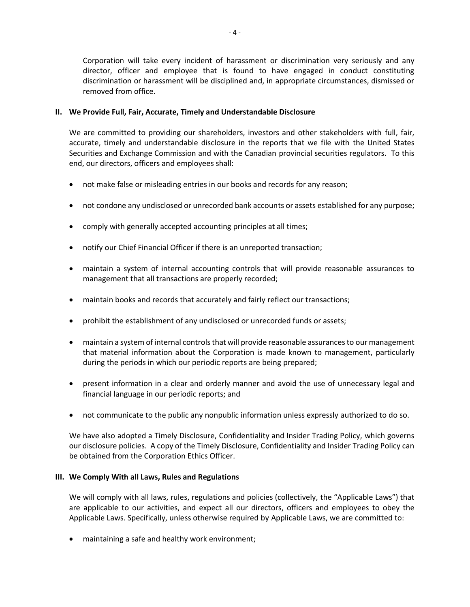Corporation will take every incident of harassment or discrimination very seriously and any director, officer and employee that is found to have engaged in conduct constituting discrimination or harassment will be disciplined and, in appropriate circumstances, dismissed or removed from office.

## **II. We Provide Full, Fair, Accurate, Timely and Understandable Disclosure**

We are committed to providing our shareholders, investors and other stakeholders with full, fair, accurate, timely and understandable disclosure in the reports that we file with the United States Securities and Exchange Commission and with the Canadian provincial securities regulators. To this end, our directors, officers and employees shall:

- not make false or misleading entries in our books and records for any reason;
- not condone any undisclosed or unrecorded bank accounts or assets established for any purpose;
- comply with generally accepted accounting principles at all times;
- notify our Chief Financial Officer if there is an unreported transaction;
- maintain a system of internal accounting controls that will provide reasonable assurances to management that all transactions are properly recorded;
- maintain books and records that accurately and fairly reflect our transactions;
- prohibit the establishment of any undisclosed or unrecorded funds or assets;
- maintain a system of internal controls that will provide reasonable assurances to our management that material information about the Corporation is made known to management, particularly during the periods in which our periodic reports are being prepared;
- present information in a clear and orderly manner and avoid the use of unnecessary legal and financial language in our periodic reports; and
- not communicate to the public any nonpublic information unless expressly authorized to do so.

We have also adopted a Timely Disclosure, Confidentiality and Insider Trading Policy, which governs our disclosure policies. A copy of the Timely Disclosure, Confidentiality and Insider Trading Policy can be obtained from the Corporation Ethics Officer.

## **III. We Comply With all Laws, Rules and Regulations**

We will comply with all laws, rules, regulations and policies (collectively, the "Applicable Laws") that are applicable to our activities, and expect all our directors, officers and employees to obey the Applicable Laws. Specifically, unless otherwise required by Applicable Laws, we are committed to:

• maintaining a safe and healthy work environment;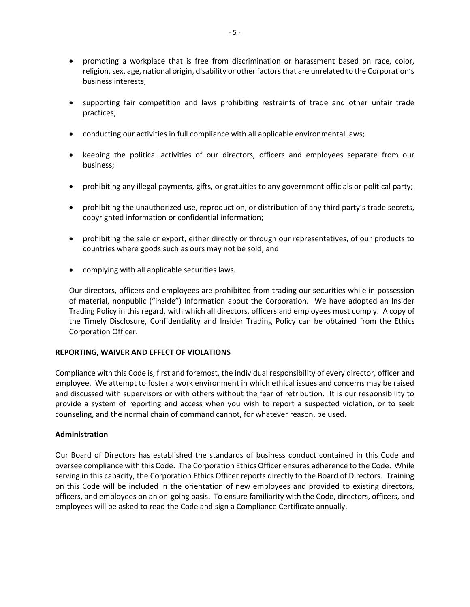- promoting a workplace that is free from discrimination or harassment based on race, color, religion, sex, age, national origin, disability or other factors that are unrelated to the Corporation's business interests;
- supporting fair competition and laws prohibiting restraints of trade and other unfair trade practices;
- conducting our activities in full compliance with all applicable environmental laws;
- keeping the political activities of our directors, officers and employees separate from our business;
- prohibiting any illegal payments, gifts, or gratuities to any government officials or political party;
- prohibiting the unauthorized use, reproduction, or distribution of any third party's trade secrets, copyrighted information or confidential information;
- prohibiting the sale or export, either directly or through our representatives, of our products to countries where goods such as ours may not be sold; and
- complying with all applicable securities laws.

Our directors, officers and employees are prohibited from trading our securities while in possession of material, nonpublic ("inside") information about the Corporation. We have adopted an Insider Trading Policy in this regard, with which all directors, officers and employees must comply. A copy of the Timely Disclosure, Confidentiality and Insider Trading Policy can be obtained from the Ethics Corporation Officer.

### **REPORTING, WAIVER AND EFFECT OF VIOLATIONS**

Compliance with this Code is, first and foremost, the individual responsibility of every director, officer and employee. We attempt to foster a work environment in which ethical issues and concerns may be raised and discussed with supervisors or with others without the fear of retribution. It is our responsibility to provide a system of reporting and access when you wish to report a suspected violation, or to seek counseling, and the normal chain of command cannot, for whatever reason, be used.

### **Administration**

Our Board of Directors has established the standards of business conduct contained in this Code and oversee compliance with this Code. The Corporation Ethics Officer ensures adherence to the Code. While serving in this capacity, the Corporation Ethics Officer reports directly to the Board of Directors. Training on this Code will be included in the orientation of new employees and provided to existing directors, officers, and employees on an on-going basis. To ensure familiarity with the Code, directors, officers, and employees will be asked to read the Code and sign a Compliance Certificate annually.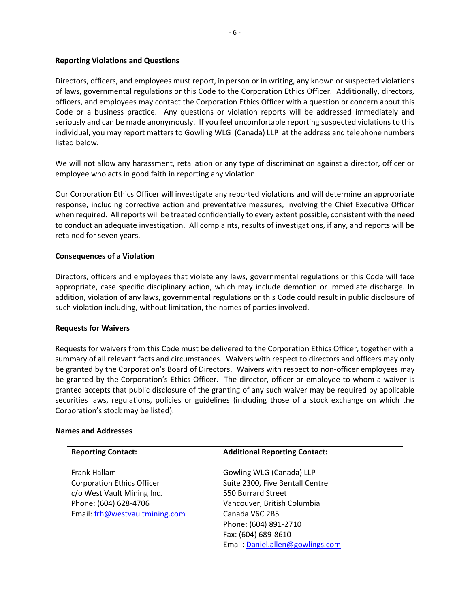### **Reporting Violations and Questions**

Directors, officers, and employees must report, in person or in writing, any known or suspected violations of laws, governmental regulations or this Code to the Corporation Ethics Officer. Additionally, directors, officers, and employees may contact the Corporation Ethics Officer with a question or concern about this Code or a business practice. Any questions or violation reports will be addressed immediately and seriously and can be made anonymously. If you feel uncomfortable reporting suspected violations to this individual, you may report matters to Gowling WLG (Canada) LLP at the address and telephone numbers listed below.

We will not allow any harassment, retaliation or any type of discrimination against a director, officer or employee who acts in good faith in reporting any violation.

Our Corporation Ethics Officer will investigate any reported violations and will determine an appropriate response, including corrective action and preventative measures, involving the Chief Executive Officer when required. All reports will be treated confidentially to every extent possible, consistent with the need to conduct an adequate investigation. All complaints, results of investigations, if any, and reports will be retained for seven years.

### **Consequences of a Violation**

Directors, officers and employees that violate any laws, governmental regulations or this Code will face appropriate, case specific disciplinary action, which may include demotion or immediate discharge. In addition, violation of any laws, governmental regulations or this Code could result in public disclosure of such violation including, without limitation, the names of parties involved.

### **Requests for Waivers**

Requests for waivers from this Code must be delivered to the Corporation Ethics Officer, together with a summary of all relevant facts and circumstances. Waivers with respect to directors and officers may only be granted by the Corporation's Board of Directors. Waivers with respect to non-officer employees may be granted by the Corporation's Ethics Officer. The director, officer or employee to whom a waiver is granted accepts that public disclosure of the granting of any such waiver may be required by applicable securities laws, regulations, policies or guidelines (including those of a stock exchange on which the Corporation's stock may be listed).

### **Names and Addresses**

| <b>Reporting Contact:</b>         | <b>Additional Reporting Contact:</b> |
|-----------------------------------|--------------------------------------|
| Frank Hallam                      | Gowling WLG (Canada) LLP             |
| <b>Corporation Ethics Officer</b> | Suite 2300, Five Bentall Centre      |
| c/o West Vault Mining Inc.        | 550 Burrard Street                   |
| Phone: (604) 628-4706             | Vancouver, British Columbia          |
| Email: frh@westvaultmining.com    | Canada V6C 2B5                       |
|                                   | Phone: (604) 891-2710                |
|                                   | Fax: (604) 689-8610                  |
|                                   | Email: Daniel.allen@gowlings.com     |
|                                   |                                      |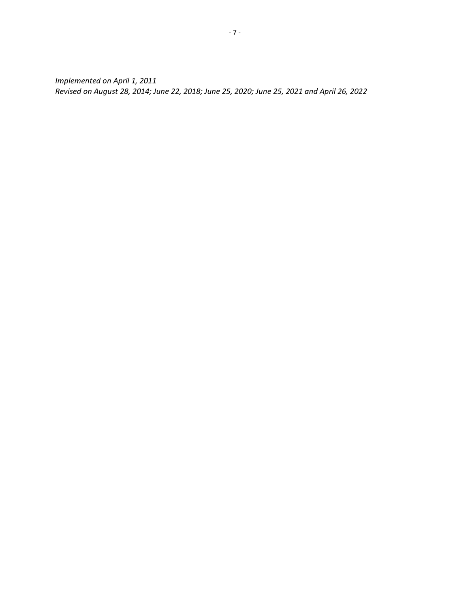*Implemented on April 1, 2011 Revised on August 28, 2014; June 22, 2018; June 25, 2020; June 25, 2021 and April 26, 2022*